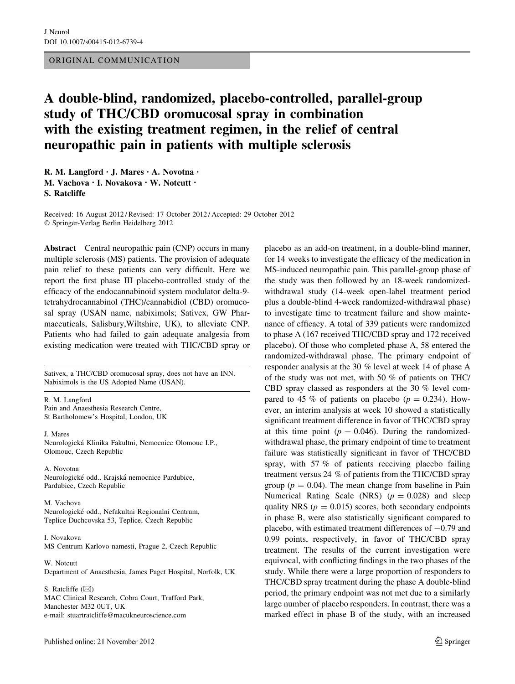## ORIGINAL COMMUNICATION

# A double-blind, randomized, placebo-controlled, parallel-group study of THC/CBD oromucosal spray in combination with the existing treatment regimen, in the relief of central neuropathic pain in patients with multiple sclerosis

R. M. Langford • J. Mares • A. Novotna • M. Vachova • I. Novakova • W. Notcutt • S. Ratcliffe

Received: 16 August 2012 / Revised: 17 October 2012 / Accepted: 29 October 2012  $© Springer-Verlag Berlin Heidelberg 2012$ 

Abstract Central neuropathic pain (CNP) occurs in many multiple sclerosis (MS) patients. The provision of adequate pain relief to these patients can very difficult. Here we report the first phase III placebo-controlled study of the efficacy of the endocannabinoid system modulator delta-9 tetrahydrocannabinol (THC)/cannabidiol (CBD) oromucosal spray (USAN name, nabiximols; Sativex, GW Pharmaceuticals, Salisbury,Wiltshire, UK), to alleviate CNP. Patients who had failed to gain adequate analgesia from existing medication were treated with THC/CBD spray or

Sativex, a THC/CBD oromucosal spray, does not have an INN. Nabiximols is the US Adopted Name (USAN).

R. M. Langford Pain and Anaesthesia Research Centre, St Bartholomew's Hospital, London, UK

J. Mares Neurologicka´ Klinika Fakultni, Nemocnice Olomouc I.P., Olomouc, Czech Republic

A. Novotna Neurologické odd., Krajská nemocnice Pardubice, Pardubice, Czech Republic

M. Vachova Neurologicke´ odd., Nefakultni Regionalni Centrum, Teplice Duchcovska 53, Teplice, Czech Republic

I. Novakova MS Centrum Karlovo namesti, Prague 2, Czech Republic

W. Notcutt Department of Anaesthesia, James Paget Hospital, Norfolk, UK

S. Ratcliffe  $(\boxtimes)$ MAC Clinical Research, Cobra Court, Trafford Park, Manchester M32 0UT, UK e-mail: stuartratcliffe@macukneuroscience.com

placebo as an add-on treatment, in a double-blind manner, for 14 weeks to investigate the efficacy of the medication in MS-induced neuropathic pain. This parallel-group phase of the study was then followed by an 18-week randomizedwithdrawal study (14-week open-label treatment period plus a double-blind 4-week randomized-withdrawal phase) to investigate time to treatment failure and show maintenance of efficacy. A total of 339 patients were randomized to phase A (167 received THC/CBD spray and 172 received placebo). Of those who completed phase A, 58 entered the randomized-withdrawal phase. The primary endpoint of responder analysis at the 30 % level at week 14 of phase A of the study was not met, with 50 % of patients on THC/ CBD spray classed as responders at the 30 % level compared to 45 % of patients on placebo ( $p = 0.234$ ). However, an interim analysis at week 10 showed a statistically significant treatment difference in favor of THC/CBD spray at this time point ( $p = 0.046$ ). During the randomizedwithdrawal phase, the primary endpoint of time to treatment failure was statistically significant in favor of THC/CBD spray, with 57 % of patients receiving placebo failing treatment versus 24 % of patients from the THC/CBD spray group ( $p = 0.04$ ). The mean change from baseline in Pain Numerical Rating Scale (NRS)  $(p = 0.028)$  and sleep quality NRS ( $p = 0.015$ ) scores, both secondary endpoints in phase B, were also statistically significant compared to placebo, with estimated treatment differences of  $-0.79$  and 0.99 points, respectively, in favor of THC/CBD spray treatment. The results of the current investigation were equivocal, with conflicting findings in the two phases of the study. While there were a large proportion of responders to THC/CBD spray treatment during the phase A double-blind period, the primary endpoint was not met due to a similarly large number of placebo responders. In contrast, there was a marked effect in phase B of the study, with an increased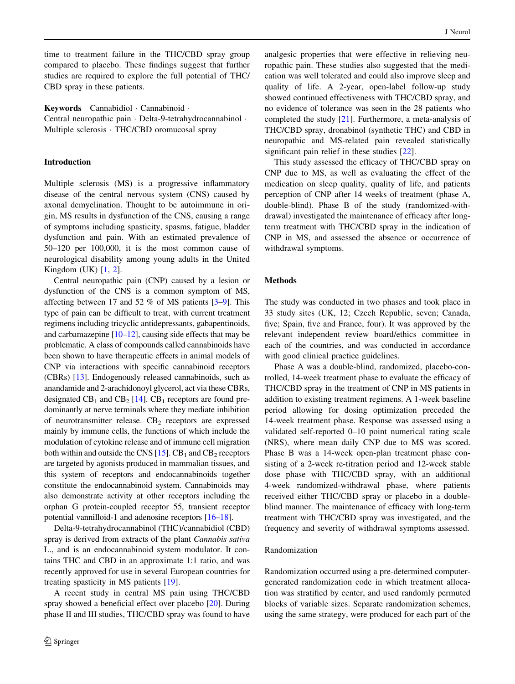time to treatment failure in the THC/CBD spray group compared to placebo. These findings suggest that further studies are required to explore the full potential of THC/ CBD spray in these patients.

Keywords Cannabidiol · Cannabinoid · Central neuropathic pain · Delta-9-tetrahydrocannabinol · Multiple sclerosis  $\cdot$  THC/CBD oromucosal spray

#### Introduction

Multiple sclerosis (MS) is a progressive inflammatory disease of the central nervous system (CNS) caused by axonal demyelination. Thought to be autoimmune in origin, MS results in dysfunction of the CNS, causing a range of symptoms including spasticity, spasms, fatigue, bladder dysfunction and pain. With an estimated prevalence of 50–120 per 100,000, it is the most common cause of neurological disability among young adults in the United Kingdom (UK) [[1,](#page-12-0) [2\]](#page-12-0).

Central neuropathic pain (CNP) caused by a lesion or dysfunction of the CNS is a common symptom of MS, affecting between 17 and 52 % of MS patients [[3–9](#page-12-0)]. This type of pain can be difficult to treat, with current treatment regimens including tricyclic antidepressants, gabapentinoids, and carbamazepine  $[10-12]$ , causing side effects that may be problematic. A class of compounds called cannabinoids have been shown to have therapeutic effects in animal models of CNP via interactions with specific cannabinoid receptors (CBRs) [[13](#page-13-0)]. Endogenously released cannabinoids, such as anandamide and 2-arachidonoyl glycerol, act via these CBRs, designated  $CB_1$  and  $CB_2$  [[14](#page-13-0)].  $CB_1$  receptors are found predominantly at nerve terminals where they mediate inhibition of neurotransmitter release.  $CB<sub>2</sub>$  receptors are expressed mainly by immune cells, the functions of which include the modulation of cytokine release and of immune cell migration both within and outside the CNS  $[15]$ . CB<sub>1</sub> and CB<sub>2</sub> receptors are targeted by agonists produced in mammalian tissues, and this system of receptors and endocannabinoids together constitute the endocannabinoid system. Cannabinoids may also demonstrate activity at other receptors including the orphan G protein-coupled receptor 55, transient receptor potential vannilloid-1 and adenosine receptors [[16–18](#page-13-0)].

Delta-9-tetrahydrocannabinol (THC)/cannabidiol (CBD) spray is derived from extracts of the plant Cannabis sativa L., and is an endocannabinoid system modulator. It contains THC and CBD in an approximate 1:1 ratio, and was recently approved for use in several European countries for treating spasticity in MS patients [[19\]](#page-13-0).

A recent study in central MS pain using THC/CBD spray showed a beneficial effect over placebo [\[20](#page-13-0)]. During phase II and III studies, THC/CBD spray was found to have

analgesic properties that were effective in relieving neuropathic pain. These studies also suggested that the medication was well tolerated and could also improve sleep and quality of life. A 2-year, open-label follow-up study showed continued effectiveness with THC/CBD spray, and no evidence of tolerance was seen in the 28 patients who completed the study [[21\]](#page-13-0). Furthermore, a meta-analysis of THC/CBD spray, dronabinol (synthetic THC) and CBD in neuropathic and MS-related pain revealed statistically significant pain relief in these studies [[22\]](#page-13-0).

This study assessed the efficacy of THC/CBD spray on CNP due to MS, as well as evaluating the effect of the medication on sleep quality, quality of life, and patients perception of CNP after 14 weeks of treatment (phase A, double-blind). Phase B of the study (randomized-withdrawal) investigated the maintenance of efficacy after longterm treatment with THC/CBD spray in the indication of CNP in MS, and assessed the absence or occurrence of withdrawal symptoms.

#### Methods

The study was conducted in two phases and took place in 33 study sites (UK, 12; Czech Republic, seven; Canada, five; Spain, five and France, four). It was approved by the relevant independent review board/ethics committee in each of the countries, and was conducted in accordance with good clinical practice guidelines.

Phase A was a double-blind, randomized, placebo-controlled, 14-week treatment phase to evaluate the efficacy of THC/CBD spray in the treatment of CNP in MS patients in addition to existing treatment regimens. A 1-week baseline period allowing for dosing optimization preceded the 14-week treatment phase. Response was assessed using a validated self-reported 0–10 point numerical rating scale (NRS), where mean daily CNP due to MS was scored. Phase B was a 14-week open-plan treatment phase consisting of a 2-week re-titration period and 12-week stable dose phase with THC/CBD spray, with an additional 4-week randomized-withdrawal phase, where patients received either THC/CBD spray or placebo in a doubleblind manner. The maintenance of efficacy with long-term treatment with THC/CBD spray was investigated, and the frequency and severity of withdrawal symptoms assessed.

#### Randomization

Randomization occurred using a pre-determined computergenerated randomization code in which treatment allocation was stratified by center, and used randomly permuted blocks of variable sizes. Separate randomization schemes, using the same strategy, were produced for each part of the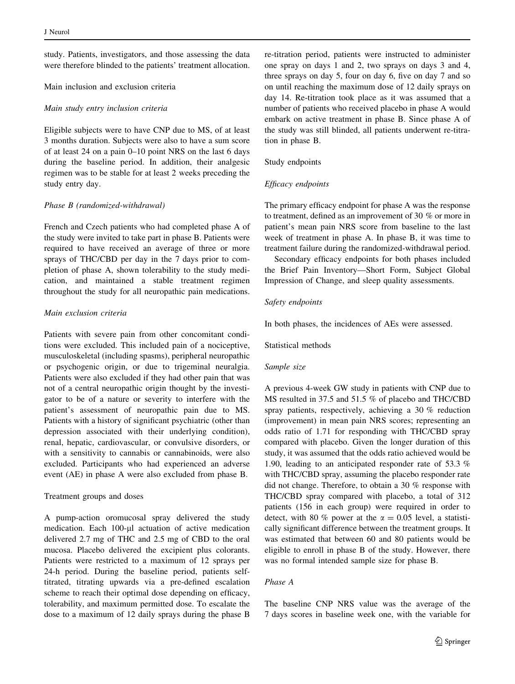study. Patients, investigators, and those assessing the data were therefore blinded to the patients' treatment allocation.

#### Main inclusion and exclusion criteria

#### Main study entry inclusion criteria

Eligible subjects were to have CNP due to MS, of at least 3 months duration. Subjects were also to have a sum score of at least 24 on a pain 0–10 point NRS on the last 6 days during the baseline period. In addition, their analgesic regimen was to be stable for at least 2 weeks preceding the study entry day.

# Phase B (randomized-withdrawal)

French and Czech patients who had completed phase A of the study were invited to take part in phase B. Patients were required to have received an average of three or more sprays of THC/CBD per day in the 7 days prior to completion of phase A, shown tolerability to the study medication, and maintained a stable treatment regimen throughout the study for all neuropathic pain medications.

# Main exclusion criteria

Patients with severe pain from other concomitant conditions were excluded. This included pain of a nociceptive, musculoskeletal (including spasms), peripheral neuropathic or psychogenic origin, or due to trigeminal neuralgia. Patients were also excluded if they had other pain that was not of a central neuropathic origin thought by the investigator to be of a nature or severity to interfere with the patient's assessment of neuropathic pain due to MS. Patients with a history of significant psychiatric (other than depression associated with their underlying condition), renal, hepatic, cardiovascular, or convulsive disorders, or with a sensitivity to cannabis or cannabinoids, were also excluded. Participants who had experienced an adverse event (AE) in phase A were also excluded from phase B.

# Treatment groups and doses

A pump-action oromucosal spray delivered the study medication. Each 100-µl actuation of active medication delivered 2.7 mg of THC and 2.5 mg of CBD to the oral mucosa. Placebo delivered the excipient plus colorants. Patients were restricted to a maximum of 12 sprays per 24-h period. During the baseline period, patients selftitrated, titrating upwards via a pre-defined escalation scheme to reach their optimal dose depending on efficacy, tolerability, and maximum permitted dose. To escalate the dose to a maximum of 12 daily sprays during the phase B re-titration period, patients were instructed to administer one spray on days 1 and 2, two sprays on days 3 and 4, three sprays on day 5, four on day 6, five on day 7 and so on until reaching the maximum dose of 12 daily sprays on day 14. Re-titration took place as it was assumed that a number of patients who received placebo in phase A would embark on active treatment in phase B. Since phase A of the study was still blinded, all patients underwent re-titration in phase B.

# Study endpoints

# Efficacy endpoints

The primary efficacy endpoint for phase A was the response to treatment, defined as an improvement of 30 % or more in patient's mean pain NRS score from baseline to the last week of treatment in phase A. In phase B, it was time to treatment failure during the randomized-withdrawal period.

Secondary efficacy endpoints for both phases included the Brief Pain Inventory—Short Form, Subject Global Impression of Change, and sleep quality assessments.

# Safety endpoints

In both phases, the incidences of AEs were assessed.

# Statistical methods

# Sample size

A previous 4-week GW study in patients with CNP due to MS resulted in 37.5 and 51.5 % of placebo and THC/CBD spray patients, respectively, achieving a 30 % reduction (improvement) in mean pain NRS scores; representing an odds ratio of 1.71 for responding with THC/CBD spray compared with placebo. Given the longer duration of this study, it was assumed that the odds ratio achieved would be 1.90, leading to an anticipated responder rate of 53.3 % with THC/CBD spray, assuming the placebo responder rate did not change. Therefore, to obtain a 30 % response with THC/CBD spray compared with placebo, a total of 312 patients (156 in each group) were required in order to detect, with 80 % power at the  $\alpha = 0.05$  level, a statistically significant difference between the treatment groups. It was estimated that between 60 and 80 patients would be eligible to enroll in phase B of the study. However, there was no formal intended sample size for phase B.

# Phase A

The baseline CNP NRS value was the average of the 7 days scores in baseline week one, with the variable for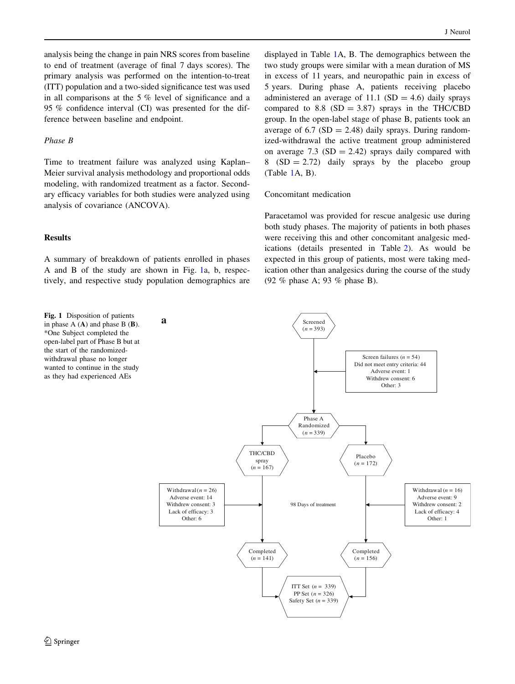analysis being the change in pain NRS scores from baseline to end of treatment (average of final 7 days scores). The primary analysis was performed on the intention-to-treat (ITT) population and a two-sided significance test was used in all comparisons at the 5 % level of significance and a 95 % confidence interval (CI) was presented for the difference between baseline and endpoint.

# Phase B

Time to treatment failure was analyzed using Kaplan– Meier survival analysis methodology and proportional odds modeling, with randomized treatment as a factor. Secondary efficacy variables for both studies were analyzed using analysis of covariance (ANCOVA).

#### Results

the start of the randomizedwithdrawal phase no longer

A summary of breakdown of patients enrolled in phases A and B of the study are shown in Fig. 1a, b, respectively, and respective study population demographics are displayed in Table [1A](#page-5-0), B. The demographics between the two study groups were similar with a mean duration of MS in excess of 11 years, and neuropathic pain in excess of 5 years. During phase A, patients receiving placebo administered an average of 11.1 (SD = 4.6) daily sprays compared to 8.8  $(SD = 3.87)$  sprays in the THC/CBD group. In the open-label stage of phase B, patients took an average of 6.7 ( $SD = 2.48$ ) daily sprays. During randomized-withdrawal the active treatment group administered on average 7.3 ( $SD = 2.42$ ) sprays daily compared with 8  $(SD = 2.72)$  daily sprays by the placebo group (Table [1A](#page-5-0), B).

## Concomitant medication

Paracetamol was provided for rescue analgesic use during both study phases. The majority of patients in both phases were receiving this and other concomitant analgesic medications (details presented in Table [2](#page-6-0)). As would be expected in this group of patients, most were taking medication other than analgesics during the course of the study (92 % phase A; 93 % phase B).

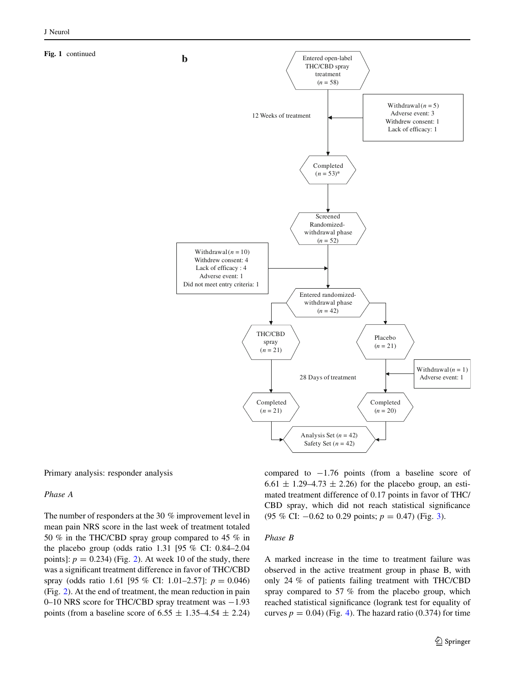Fig. 1 continued **b** 



Primary analysis: responder analysis

## Phase A

The number of responders at the 30 % improvement level in mean pain NRS score in the last week of treatment totaled 50 % in the THC/CBD spray group compared to 45 % in the placebo group (odds ratio 1.31 [95 % CI: 0.84–2.04 points]:  $p = 0.234$  $p = 0.234$  $p = 0.234$ ) (Fig. 2). At week 10 of the study, there was a significant treatment difference in favor of THC/CBD spray (odds ratio 1.61 [95 % CI: 1.01–2.57]:  $p = 0.046$ ) (Fig. [2](#page-7-0)). At the end of treatment, the mean reduction in pain 0–10 NRS score for THC/CBD spray treatment was  $-1.93$ points (from a baseline score of  $6.55 \pm 1.35 - 4.54 \pm 2.24$ )

compared to  $-1.76$  points (from a baseline score of  $6.61 \pm 1.29 - 4.73 \pm 2.26$  for the placebo group, an estimated treatment difference of 0.17 points in favor of THC/ CBD spray, which did not reach statistical significance (95 % CI:  $-0.62$  to 0.29 points;  $p = 0.47$ ) (Fig. [3](#page-7-0)).

#### Phase B

A marked increase in the time to treatment failure was observed in the active treatment group in phase B, with only 24 % of patients failing treatment with THC/CBD spray compared to 57 % from the placebo group, which reached statistical significance (logrank test for equality of curves  $p = 0.04$ ) (Fig. [4\)](#page-7-0). The hazard ratio (0.374) for time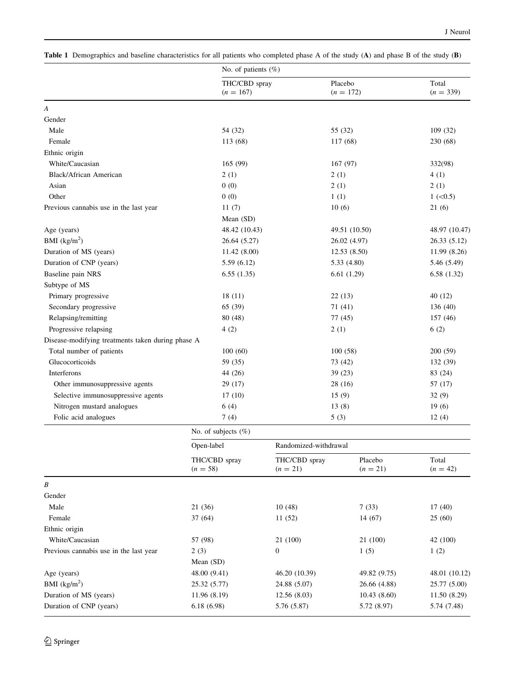<span id="page-5-0"></span>

|  |  | Table 1 Demographics and baseline characteristics for all patients who completed phase A of the study (A) and phase B of the study (B) |  |  |  |  |  |
|--|--|----------------------------------------------------------------------------------------------------------------------------------------|--|--|--|--|--|
|--|--|----------------------------------------------------------------------------------------------------------------------------------------|--|--|--|--|--|

|                                                   | No. of patients $(\%)$       |                             |                        |                      |  |
|---------------------------------------------------|------------------------------|-----------------------------|------------------------|----------------------|--|
|                                                   | THC/CBD spray<br>$(n = 167)$ |                             | Placebo<br>$(n = 172)$ | Total<br>$(n = 339)$ |  |
| A                                                 |                              |                             |                        |                      |  |
| Gender                                            |                              |                             |                        |                      |  |
| Male                                              | 54 (32)                      |                             | 55 (32)                | 109(32)              |  |
| Female                                            | 113 (68)                     |                             | 117 (68)               | 230 (68)             |  |
| Ethnic origin                                     |                              |                             |                        |                      |  |
| White/Caucasian                                   | 165 (99)                     |                             | 167(97)                | 332(98)              |  |
| Black/African American                            | 2(1)                         |                             | 2(1)                   | 4(1)                 |  |
| Asian                                             | 0(0)                         |                             | 2(1)                   | 2(1)                 |  |
| Other                                             | 0(0)                         |                             | 1(1)                   | $1 \le 0.5$          |  |
| Previous cannabis use in the last year            | 11(7)                        |                             | 10(6)                  | 21(6)                |  |
|                                                   | Mean (SD)                    |                             |                        |                      |  |
| Age (years)                                       | 48.42 (10.43)                |                             | 49.51 (10.50)          | 48.97 (10.47)        |  |
| BMI $(kg/m2)$                                     | 26.64 (5.27)                 |                             | 26.02 (4.97)           | 26.33(5.12)          |  |
| Duration of MS (years)                            | 11.42 (8.00)                 |                             | 12.53(8.50)            | 11.99 (8.26)         |  |
| Duration of CNP (years)                           | 5.59(6.12)                   |                             | 5.33 (4.80)            | 5.46 (5.49)          |  |
| Baseline pain NRS                                 | 6.55(1.35)                   |                             | 6.61(1.29)             | 6.58(1.32)           |  |
| Subtype of MS                                     |                              |                             |                        |                      |  |
| Primary progressive                               | 18(11)                       |                             | 22(13)                 | 40 (12)              |  |
| Secondary progressive                             | 65 (39)                      |                             | 71(41)                 | 136 (40)             |  |
| Relapsing/remitting                               | 80(48)                       |                             | 77(45)                 | 157 (46)             |  |
| Progressive relapsing                             | 4(2)                         |                             | 2(1)                   | 6(2)                 |  |
| Disease-modifying treatments taken during phase A |                              |                             |                        |                      |  |
| Total number of patients                          | 100(60)                      |                             | 100(58)                | 200 (59)             |  |
| Glucocorticoids                                   | 59 (35)                      |                             | 73 (42)                | 132 (39)             |  |
| Interferons                                       | 44 (26)                      |                             |                        | 83 (24)              |  |
| Other immunosuppressive agents                    | 29 (17)                      |                             | 39(23)<br>28(16)       | 57(17)               |  |
| Selective immunosuppressive agents                | 17(10)                       |                             | 15(9)                  | 32(9)                |  |
| Nitrogen mustard analogues                        | 6(4)                         |                             | 13(8)                  | 19(6)                |  |
| Folic acid analogues                              | 7(4)                         |                             | 5(3)                   | 12(4)                |  |
|                                                   | No. of subjects $(\%)$       |                             |                        |                      |  |
|                                                   | Open-label                   | Randomized-withdrawal       |                        |                      |  |
|                                                   |                              |                             |                        |                      |  |
|                                                   | THC/CBD spray<br>$(n = 58)$  | THC/CBD spray<br>$(n = 21)$ | Placebo<br>$(n = 21)$  | Total<br>$(n = 42)$  |  |
| Β                                                 |                              |                             |                        |                      |  |
| Gender                                            |                              |                             |                        |                      |  |
| Male                                              | 21 (36)                      | 10(48)                      | 7(33)                  | 17(40)               |  |
| Female                                            | 37 (64)                      | 11 (52)                     | 14 (67)                | 25(60)               |  |
| Ethnic origin                                     |                              |                             |                        |                      |  |
| White/Caucasian                                   | 57 (98)                      | 21 (100)                    | 21(100)                | 42 (100)             |  |
| Previous cannabis use in the last year            | 2(3)                         | 0                           | 1(5)                   | 1(2)                 |  |
|                                                   | Mean (SD)                    |                             |                        |                      |  |
| Age (years)                                       | 48.00 (9.41)                 | 46.20 (10.39)               | 49.82 (9.75)           | 48.01 (10.12)        |  |
| BMI $(kg/m2)$                                     | 25.32 (5.77)                 | 24.88 (5.07)                | 26.66 (4.88)           | 25.77 (5.00)         |  |
| Duration of MS (years)                            | 11.96 (8.19)                 | 12.56(8.03)                 | 10.43(8.60)            | 11.50(8.29)          |  |
| Duration of CNP (years)                           | 6.18(6.98)                   | 5.76 (5.87)                 | 5.72 (8.97)            | 5.74 (7.48)          |  |
|                                                   |                              |                             |                        |                      |  |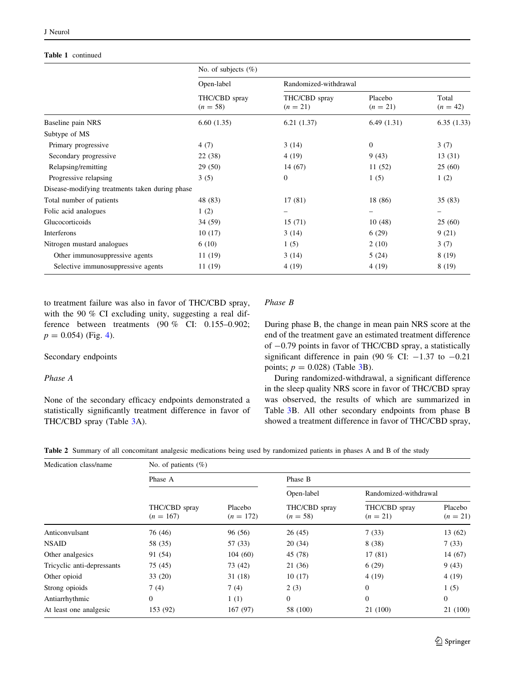#### <span id="page-6-0"></span>Table 1 continued

|                                                 | No. of subjects $(\%)$      |                             |                       |                     |  |  |
|-------------------------------------------------|-----------------------------|-----------------------------|-----------------------|---------------------|--|--|
|                                                 | Open-label                  | Randomized-withdrawal       |                       |                     |  |  |
|                                                 | THC/CBD spray<br>$(n = 58)$ | THC/CBD spray<br>$(n = 21)$ | Placebo<br>$(n = 21)$ | Total<br>$(n = 42)$ |  |  |
| Baseline pain NRS                               | 6.60(1.35)                  | 6.21(1.37)                  | 6.49(1.31)            | 6.35(1.33)          |  |  |
| Subtype of MS                                   |                             |                             |                       |                     |  |  |
| Primary progressive                             | 4(7)                        | 3(14)                       | $\mathbf{0}$          | 3(7)                |  |  |
| Secondary progressive                           | 22 (38)                     | 4 (19)                      | 9(43)                 | 13 (31)             |  |  |
| Relapsing/remitting                             | 29(50)                      | 14 (67)                     | 11 (52)               | 25(60)              |  |  |
| Progressive relapsing                           | 3(5)                        | $\mathbf{0}$                | 1(5)                  | 1(2)                |  |  |
| Disease-modifying treatments taken during phase |                             |                             |                       |                     |  |  |
| Total number of patients                        | 48 (83)                     | 17(81)                      | 18 (86)               | 35(83)              |  |  |
| Folic acid analogues                            | 1(2)                        | -                           | -                     | -                   |  |  |
| Glucocorticoids                                 | 34 (59)                     | 15(71)                      | 10(48)                | 25(60)              |  |  |
| Interferons                                     | 10(17)                      | 3(14)                       | 6(29)                 | 9(21)               |  |  |
| Nitrogen mustard analogues                      | 6(10)                       | 1(5)                        | 2(10)                 | 3(7)                |  |  |
| Other immunosuppressive agents                  | 11(19)                      | 3(14)                       | 5(24)                 | 8(19)               |  |  |
| Selective immunosuppressive agents              | 11(19)                      | 4(19)                       | 4(19)                 | 8(19)               |  |  |

to treatment failure was also in favor of THC/CBD spray, with the 90 % CI excluding unity, suggesting a real difference between treatments (90 % CI: 0.155–0.902;  $p = 0.054$  (Fig. [4\)](#page-7-0).

## Secondary endpoints

#### Phase A

None of the secondary efficacy endpoints demonstrated a statistically significantly treatment difference in favor of THC/CBD spray (Table [3](#page-8-0)A).

# Phase B

During phase B, the change in mean pain NRS score at the end of the treatment gave an estimated treatment difference of  $-0.79$  points in favor of THC/CBD spray, a statistically significant difference in pain (90 % CI:  $-1.37$  to  $-0.21$ points;  $p = 0.028$ ) (Table [3B](#page-8-0)).

During randomized-withdrawal, a significant difference in the sleep quality NRS score in favor of THC/CBD spray was observed, the results of which are summarized in Table [3](#page-8-0)B. All other secondary endpoints from phase B showed a treatment difference in favor of THC/CBD spray,

|  |  | Table 2 Summary of all concomitant analgesic medications being used by randomized patients in phases A and B of the study |  |  |  |  |
|--|--|---------------------------------------------------------------------------------------------------------------------------|--|--|--|--|
|--|--|---------------------------------------------------------------------------------------------------------------------------|--|--|--|--|

| Medication class/name      | No. of patients $(\%)$       |                        |                             |                             |                       |  |  |  |
|----------------------------|------------------------------|------------------------|-----------------------------|-----------------------------|-----------------------|--|--|--|
|                            | Phase A                      |                        | Phase B                     |                             |                       |  |  |  |
|                            |                              |                        | Open-label                  | Randomized-withdrawal       |                       |  |  |  |
|                            | THC/CBD spray<br>$(n = 167)$ | Placebo<br>$(n = 172)$ | THC/CBD spray<br>$(n = 58)$ | THC/CBD spray<br>$(n = 21)$ | Placebo<br>$(n = 21)$ |  |  |  |
| Anticonvulsant             | 76 (46)                      | 96 (56)                | 26(45)                      | 7(33)                       | 13 (62)               |  |  |  |
| <b>NSAID</b>               | 58 (35)                      | 57(33)                 | 20(34)                      | 8(38)                       | 7(33)                 |  |  |  |
| Other analgesics           | 91 (54)                      | 104(60)                | 45 (78)                     | 17(81)                      | 14(67)                |  |  |  |
| Tricyclic anti-depressants | 75 (45)                      | 73 (42)                | 21 (36)                     | 6(29)                       | 9(43)                 |  |  |  |
| Other opioid               | 33(20)                       | 31(18)                 | 10(17)                      | 4(19)                       | 4(19)                 |  |  |  |
| Strong opioids             | 7(4)                         | 7(4)                   | 2(3)                        | $\theta$                    | 1(5)                  |  |  |  |
| Antiarrhythmic             | $\mathbf{0}$                 | 1(1)                   | $\overline{0}$              | $\theta$                    | $\mathbf{0}$          |  |  |  |
| At least one analgesic     | 153 (92)                     | 167 (97)               | 58 (100)                    | 21 (100)                    | 21 (100)              |  |  |  |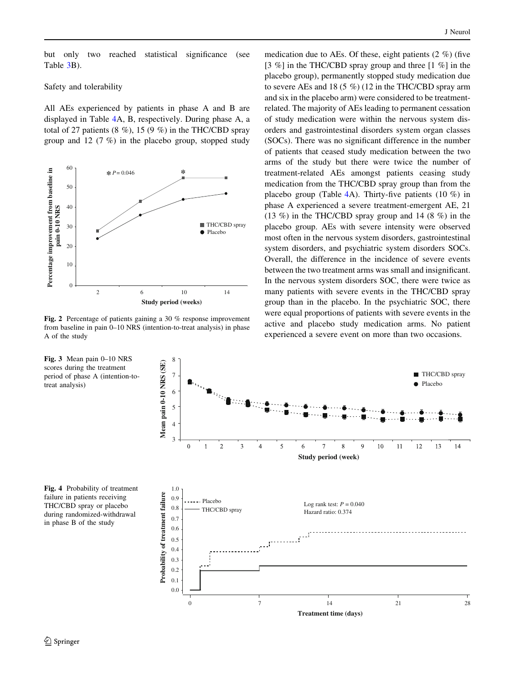<span id="page-7-0"></span>but only two reached statistical significance (see Table [3](#page-8-0)B).

#### Safety and tolerability

All AEs experienced by patients in phase A and B are displayed in Table [4A](#page-10-0), B, respectively. During phase A, a total of 27 patients (8 %), 15 (9 %) in the THC/CBD spray group and 12 (7  $\%$ ) in the placebo group, stopped study



Fig. 2 Percentage of patients gaining a 30 % response improvement from baseline in pain 0–10 NRS (intention-to-treat analysis) in phase A of the study



Fig. 4 Probability of treatment failure in patients receiving THC/CBD spray or placebo during randomized-withdrawal in phase B of the study

medication due to AEs. Of these, eight patients (2 %) (five [3 %] in the THC/CBD spray group and three [1 %] in the placebo group), permanently stopped study medication due to severe AEs and 18 (5 %) (12 in the THC/CBD spray arm and six in the placebo arm) were considered to be treatmentrelated. The majority of AEs leading to permanent cessation of study medication were within the nervous system disorders and gastrointestinal disorders system organ classes (SOCs). There was no significant difference in the number of patients that ceased study medication between the two arms of the study but there were twice the number of treatment-related AEs amongst patients ceasing study medication from the THC/CBD spray group than from the placebo group (Table [4A](#page-10-0)). Thirty-five patients (10 %) in phase A experienced a severe treatment-emergent AE, 21 (13 %) in the THC/CBD spray group and 14 (8 %) in the placebo group. AEs with severe intensity were observed most often in the nervous system disorders, gastrointestinal system disorders, and psychiatric system disorders SOCs. Overall, the difference in the incidence of severe events between the two treatment arms was small and insignificant. In the nervous system disorders SOC, there were twice as many patients with severe events in the THC/CBD spray group than in the placebo. In the psychiatric SOC, there were equal proportions of patients with severe events in the active and placebo study medication arms. No patient experienced a severe event on more than two occasions.

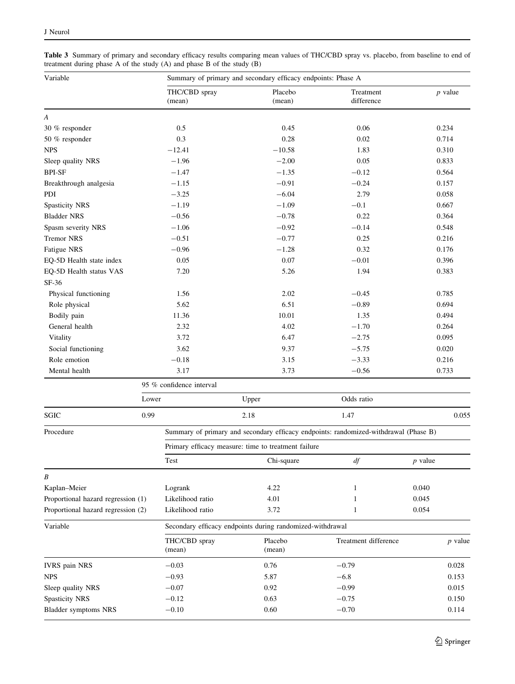| Variable                           | Summary of primary and secondary efficacy endpoints: Phase A |                          |                                                                                      |                         |           |  |  |  |
|------------------------------------|--------------------------------------------------------------|--------------------------|--------------------------------------------------------------------------------------|-------------------------|-----------|--|--|--|
|                                    |                                                              | THC/CBD spray<br>(mean)  | Placebo<br>(mean)                                                                    | Treatment<br>difference | $p$ value |  |  |  |
| A                                  |                                                              |                          |                                                                                      |                         |           |  |  |  |
| 30 % responder                     |                                                              | 0.5                      | 0.45                                                                                 | 0.06                    | 0.234     |  |  |  |
| 50 % responder                     |                                                              | 0.3                      | 0.28                                                                                 | 0.02                    | 0.714     |  |  |  |
| <b>NPS</b>                         |                                                              | $-12.41$                 | $-10.58$                                                                             | 1.83                    | 0.310     |  |  |  |
| Sleep quality NRS                  |                                                              | $-1.96$                  | $-2.00$                                                                              | 0.05                    | 0.833     |  |  |  |
| <b>BPI-SF</b>                      |                                                              | $-1.47$                  | $-1.35$                                                                              | $-0.12$                 | 0.564     |  |  |  |
| Breakthrough analgesia             |                                                              | $-1.15$                  | $-0.91$                                                                              | $-0.24$                 | 0.157     |  |  |  |
| PDI                                |                                                              | $-3.25$                  | $-6.04$                                                                              | 2.79                    | 0.058     |  |  |  |
| Spasticity NRS                     |                                                              | $-1.19$                  | $-1.09$                                                                              | $-0.1$                  | 0.667     |  |  |  |
| <b>Bladder NRS</b>                 |                                                              | $-0.56$                  | $-0.78$                                                                              | 0.22                    | 0.364     |  |  |  |
| Spasm severity NRS                 |                                                              | $-1.06$                  | $-0.92$                                                                              | $-0.14$                 | 0.548     |  |  |  |
| <b>Tremor NRS</b>                  |                                                              | $-0.51$                  | $-0.77$                                                                              | 0.25                    | 0.216     |  |  |  |
| Fatigue NRS                        |                                                              | $-0.96$                  | $-1.28$                                                                              | 0.32                    | 0.176     |  |  |  |
| EQ-5D Health state index           |                                                              | 0.05                     | 0.07                                                                                 | $-0.01$                 | 0.396     |  |  |  |
| EQ-5D Health status VAS            |                                                              | 7.20                     | 5.26                                                                                 | 1.94                    | 0.383     |  |  |  |
| SF-36                              |                                                              |                          |                                                                                      |                         |           |  |  |  |
| Physical functioning               |                                                              | 1.56                     | 2.02                                                                                 | $-0.45$                 | 0.785     |  |  |  |
| Role physical                      |                                                              | 5.62                     | 6.51                                                                                 | $-0.89$                 | 0.694     |  |  |  |
| Bodily pain                        |                                                              | 11.36                    | 10.01                                                                                | 1.35                    | 0.494     |  |  |  |
| General health                     |                                                              | 2.32                     | 4.02                                                                                 | $-1.70$                 | 0.264     |  |  |  |
| Vitality                           |                                                              | 3.72                     | 6.47                                                                                 | $-2.75$                 | 0.095     |  |  |  |
| Social functioning                 |                                                              | 3.62                     | 9.37                                                                                 | $-5.75$                 | 0.020     |  |  |  |
| Role emotion                       |                                                              | $-0.18$                  | 3.15                                                                                 | $-3.33$                 | 0.216     |  |  |  |
| Mental health                      |                                                              | 3.17                     | 3.73                                                                                 | $-0.56$                 | 0.733     |  |  |  |
|                                    |                                                              | 95 % confidence interval |                                                                                      |                         |           |  |  |  |
|                                    | Lower                                                        |                          | Upper                                                                                | Odds ratio              |           |  |  |  |
| <b>SGIC</b>                        | 0.99                                                         |                          | 2.18                                                                                 | 1.47                    | 0.055     |  |  |  |
| Procedure                          |                                                              |                          | Summary of primary and secondary efficacy endpoints: randomized-withdrawal (Phase B) |                         |           |  |  |  |
|                                    |                                                              |                          | Primary efficacy measure: time to treatment failure                                  |                         |           |  |  |  |
|                                    |                                                              | Test                     | Chi-square                                                                           | df                      | $p$ value |  |  |  |
| B                                  |                                                              |                          |                                                                                      |                         |           |  |  |  |
| Kaplan-Meier                       |                                                              | Logrank                  | 4.22                                                                                 | 1                       | 0.040     |  |  |  |
| Proportional hazard regression (1) |                                                              | Likelihood ratio         | 4.01                                                                                 | $\mathbf{1}$            | 0.045     |  |  |  |
| Proportional hazard regression (2) |                                                              | Likelihood ratio         | 3.72                                                                                 | $\mathbf{1}$            | 0.054     |  |  |  |
| Variable                           |                                                              |                          | Secondary efficacy endpoints during randomized-withdrawal                            |                         |           |  |  |  |
|                                    |                                                              | THC/CBD spray<br>(mean)  | Placebo<br>(mean)                                                                    | Treatment difference    | $p$ value |  |  |  |
| <b>IVRS</b> pain NRS               |                                                              | $-0.03$                  | 0.76                                                                                 | $-0.79$                 | 0.028     |  |  |  |
| <b>NPS</b>                         |                                                              | $-0.93$                  | 5.87                                                                                 | $-6.8$                  | 0.153     |  |  |  |
| Sleep quality NRS                  |                                                              | $-0.07$                  | 0.92                                                                                 | $-0.99$                 | 0.015     |  |  |  |
| <b>Spasticity NRS</b>              |                                                              | $-0.12$                  | 0.63                                                                                 | $-0.75$                 | 0.150     |  |  |  |
| Bladder symptoms NRS               |                                                              | $-0.10$                  | 0.60                                                                                 | $-0.70$                 | 0.114     |  |  |  |

<span id="page-8-0"></span>Table 3 Summary of primary and secondary efficacy results comparing mean values of THC/CBD spray vs. placebo, from baseline to end of treatment during phase A of the study (A) and phase B of the study (B)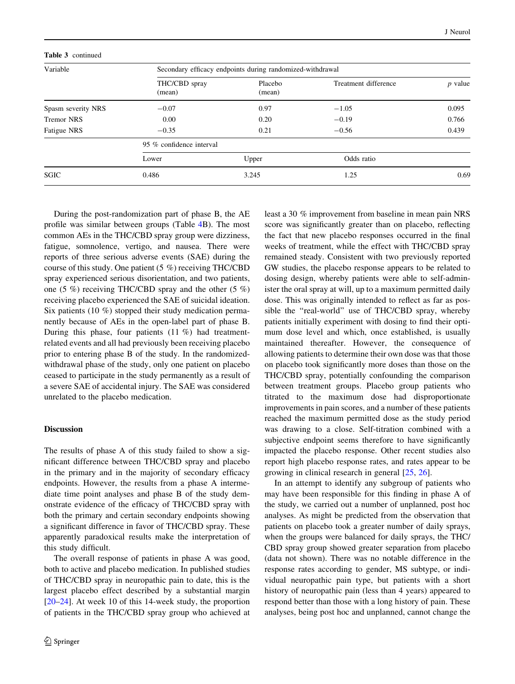| <b>rapie 5</b> continued |                          |                                                                                |                      |           |
|--------------------------|--------------------------|--------------------------------------------------------------------------------|----------------------|-----------|
| Variable                 | THC/CBD spray<br>(mean)  | Secondary efficacy endpoints during randomized-withdrawal<br>Placebo<br>(mean) | Treatment difference | $p$ value |
| Spasm severity NRS       | $-0.07$                  | 0.97                                                                           | $-1.05$              | 0.095     |
| Tremor NRS               | 0.00                     | 0.20                                                                           | $-0.19$              | 0.766     |
| Fatigue NRS              | $-0.35$                  | 0.21                                                                           | $-0.56$              |           |
|                          | 95 % confidence interval |                                                                                |                      |           |
|                          | Lower                    | Upper                                                                          | Odds ratio           |           |
| SGIC                     | 0.486                    | 3.245                                                                          | 1.25                 | 0.69      |

 $T<sub>1</sub>$   $\sim$ 

During the post-randomization part of phase B, the AE profile was similar between groups (Table [4](#page-10-0)B). The most common AEs in the THC/CBD spray group were dizziness, fatigue, somnolence, vertigo, and nausea. There were reports of three serious adverse events (SAE) during the course of this study. One patient (5 %) receiving THC/CBD spray experienced serious disorientation, and two patients, one (5  $\%$ ) receiving THC/CBD spray and the other (5  $\%$ ) receiving placebo experienced the SAE of suicidal ideation. Six patients (10 %) stopped their study medication permanently because of AEs in the open-label part of phase B. During this phase, four patients  $(11 \%)$  had treatmentrelated events and all had previously been receiving placebo prior to entering phase B of the study. In the randomizedwithdrawal phase of the study, only one patient on placebo ceased to participate in the study permanently as a result of a severe SAE of accidental injury. The SAE was considered unrelated to the placebo medication.

# Discussion

The results of phase A of this study failed to show a significant difference between THC/CBD spray and placebo in the primary and in the majority of secondary efficacy endpoints. However, the results from a phase A intermediate time point analyses and phase B of the study demonstrate evidence of the efficacy of THC/CBD spray with both the primary and certain secondary endpoints showing a significant difference in favor of THC/CBD spray. These apparently paradoxical results make the interpretation of this study difficult.

The overall response of patients in phase A was good, both to active and placebo medication. In published studies of THC/CBD spray in neuropathic pain to date, this is the largest placebo effect described by a substantial margin [\[20–24](#page-13-0)]. At week 10 of this 14-week study, the proportion of patients in the THC/CBD spray group who achieved at least a 30 % improvement from baseline in mean pain NRS score was significantly greater than on placebo, reflecting the fact that new placebo responses occurred in the final weeks of treatment, while the effect with THC/CBD spray remained steady. Consistent with two previously reported GW studies, the placebo response appears to be related to dosing design, whereby patients were able to self-administer the oral spray at will, up to a maximum permitted daily dose. This was originally intended to reflect as far as possible the "real-world" use of THC/CBD spray, whereby patients initially experiment with dosing to find their optimum dose level and which, once established, is usually maintained thereafter. However, the consequence of allowing patients to determine their own dose was that those on placebo took significantly more doses than those on the THC/CBD spray, potentially confounding the comparison between treatment groups. Placebo group patients who titrated to the maximum dose had disproportionate improvements in pain scores, and a number of these patients reached the maximum permitted dose as the study period was drawing to a close. Self-titration combined with a subjective endpoint seems therefore to have significantly impacted the placebo response. Other recent studies also report high placebo response rates, and rates appear to be growing in clinical research in general [[25,](#page-13-0) [26](#page-13-0)].

In an attempt to identify any subgroup of patients who may have been responsible for this finding in phase A of the study, we carried out a number of unplanned, post hoc analyses. As might be predicted from the observation that patients on placebo took a greater number of daily sprays, when the groups were balanced for daily sprays, the THC/ CBD spray group showed greater separation from placebo (data not shown). There was no notable difference in the response rates according to gender, MS subtype, or individual neuropathic pain type, but patients with a short history of neuropathic pain (less than 4 years) appeared to respond better than those with a long history of pain. These analyses, being post hoc and unplanned, cannot change the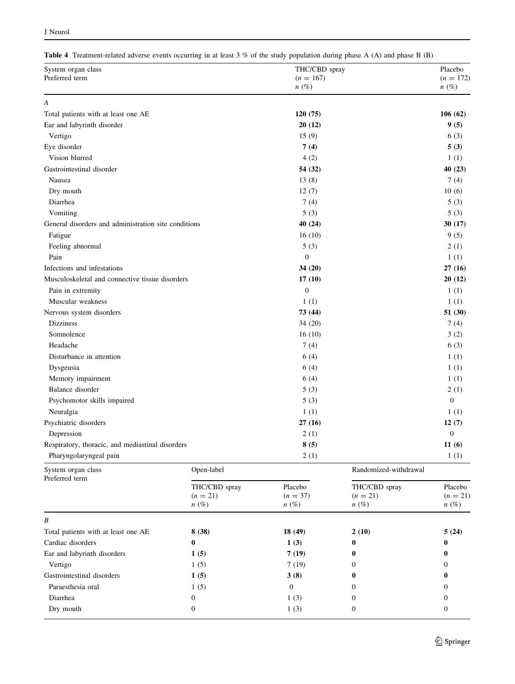<span id="page-10-0"></span>

| System organ class<br>Preferred term                 |                  | THC/CBD spray                |                       | Placebo<br>$(n = 172)$                       |  |
|------------------------------------------------------|------------------|------------------------------|-----------------------|----------------------------------------------|--|
|                                                      |                  | $(n = 167)$<br>$n(\%)$       |                       | $n(\%)$                                      |  |
|                                                      |                  |                              |                       |                                              |  |
| A<br>Total patients with at least one AE             |                  | 120(75)                      |                       | 106(62)                                      |  |
| Ear and labyrinth disorder                           |                  | 20(12)                       |                       | 9(5)                                         |  |
| Vertigo                                              |                  | 15(9)                        |                       | 6(3)                                         |  |
| Eye disorder                                         |                  | 7(4)                         |                       | 5(3)                                         |  |
| Vision blurred                                       |                  | 4(2)                         |                       | 1(1)                                         |  |
| Gastrointestinal disorder                            |                  | 54 (32)                      |                       | 40(23)                                       |  |
| Nausea                                               |                  | 13(8)                        |                       | 7(4)                                         |  |
|                                                      |                  |                              |                       | 10(6)                                        |  |
| Dry mouth                                            |                  | 12(7)                        |                       |                                              |  |
| Diarrhea                                             |                  | 7(4)                         |                       | 5(3)                                         |  |
| Vomiting                                             |                  | 5(3)                         |                       | 5(3)                                         |  |
| General disorders and administration site conditions |                  | 40(24)                       |                       | 30(17)                                       |  |
| Fatigue                                              |                  | 16(10)                       |                       | 9(5)                                         |  |
| Feeling abnormal                                     |                  | 5(3)                         |                       | 2(1)                                         |  |
| Pain                                                 |                  | $\boldsymbol{0}$             |                       | 1(1)                                         |  |
| Infections and infestations                          |                  | 34(20)                       |                       | 27(16)                                       |  |
| Musculoskeletal and connective tissue disorders      |                  | 17(10)                       |                       | 20(12)                                       |  |
| Pain in extremity                                    |                  | $\mathbf{0}$                 |                       | 1(1)                                         |  |
| Muscular weakness                                    |                  | 1(1)                         |                       | 1(1)                                         |  |
| Nervous system disorders                             |                  | 73 (44)                      |                       | 51(30)                                       |  |
| <b>Dizziness</b>                                     |                  | 34 (20)                      |                       | 7(4)<br>3(2)<br>6(3)<br>1(1)<br>1(1)<br>1(1) |  |
| Somnolence                                           |                  | 16(10)                       |                       |                                              |  |
| Headache                                             |                  | 7(4)<br>6(4)<br>6(4)<br>6(4) |                       |                                              |  |
| Disturbance in attention                             |                  |                              |                       |                                              |  |
| Dysgeusia                                            |                  |                              |                       |                                              |  |
| Memory impairment                                    |                  |                              |                       |                                              |  |
| Balance disorder                                     |                  | 5(3)                         |                       | 2(1)                                         |  |
| Psychomotor skills impaired                          |                  | 5(3)                         |                       | $\boldsymbol{0}$                             |  |
| Neuralgia                                            |                  | 1(1)                         |                       | 1(1)                                         |  |
| Psychiatric disorders                                |                  | 27(16)                       |                       | 12(7)                                        |  |
| Depression                                           |                  | 2(1)                         |                       | $\boldsymbol{0}$                             |  |
| Respiratory, thoracic, and mediastinal disorders     |                  | 8(5)                         |                       | 11(6)                                        |  |
| Pharyngolaryngeal pain                               |                  | 2(1)                         |                       | 1(1)                                         |  |
| System organ class<br>Preferred term                 | Open-label       |                              | Randomized-withdrawal |                                              |  |
|                                                      | THC/CBD spray    | Placebo                      | THC/CBD spray         | Placebo                                      |  |
|                                                      | $(n = 21)$       | $(n = 37)$                   | $(n = 21)$            | $(n = 21)$                                   |  |
|                                                      | $n(\%)$          | $n(\%)$                      | $n(\%)$               | $n(\%)$                                      |  |
| B                                                    |                  |                              |                       |                                              |  |
| Total patients with at least one AE                  | 8(38)            | 18 (49)                      | 2(10)                 | 5(24)                                        |  |
| Cardiac disorders                                    | $\bf{0}$         | 1(3)                         | $\boldsymbol{0}$      | $\bf{0}$                                     |  |
| Ear and labyrinth disorders                          | 1(5)             | 7(19)                        | $\bf{0}$              | 0                                            |  |
| Vertigo                                              | 1(5)             | 7(19)                        | 0                     | $\mathbf{0}$                                 |  |
| Gastrointestinal disorders                           | 1(5)             | 3(8)                         | 0                     | 0                                            |  |
| Paraesthesia oral                                    | 1(5)             | $\boldsymbol{0}$             | $\mathbf{0}$          | $\mathbf{0}$                                 |  |
| Diarrhea                                             | $\boldsymbol{0}$ | 1(3)                         | $\mathbf{0}$          | 0                                            |  |
| Dry mouth                                            | $\boldsymbol{0}$ | 1(3)                         | $\boldsymbol{0}$      | $\boldsymbol{0}$                             |  |
|                                                      |                  |                              |                       |                                              |  |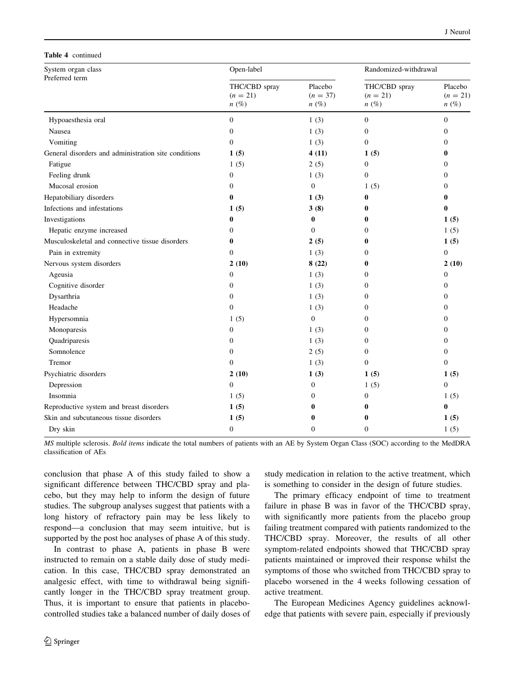#### Table 4 continued

| System organ class                                   | Open-label                             | Randomized-withdrawal            |                                        |                                  |
|------------------------------------------------------|----------------------------------------|----------------------------------|----------------------------------------|----------------------------------|
| Preferred term                                       | THC/CBD spray<br>$(n = 21)$<br>$n(\%)$ | Placebo<br>$(n = 37)$<br>$n(\%)$ | THC/CBD spray<br>$(n = 21)$<br>$n(\%)$ | Placebo<br>$(n = 21)$<br>$n(\%)$ |
| Hypoaesthesia oral                                   | $\overline{0}$                         | 1(3)                             | $\mathbf{0}$                           | $\overline{0}$                   |
| Nausea                                               | $\overline{0}$                         | 1(3)                             | $\boldsymbol{0}$                       | $\overline{0}$                   |
| Vomiting                                             | $\mathbf{0}$                           | 1(3)                             | $\boldsymbol{0}$                       | $\Omega$                         |
| General disorders and administration site conditions | 1(5)                                   | 4(11)                            | 1(5)                                   | 0                                |
| Fatigue                                              | 1(5)                                   | 2(5)                             | $\boldsymbol{0}$                       | $\Omega$                         |
| Feeling drunk                                        | $\mathbf{0}$                           | 1(3)                             | $\overline{0}$                         | $\Omega$                         |
| Mucosal erosion                                      | $\mathbf{0}$                           | $\boldsymbol{0}$                 | 1(5)                                   | $\Omega$                         |
| Hepatobiliary disorders                              | 0                                      | 1(3)                             | 0                                      | 0                                |
| Infections and infestations                          | 1(5)                                   | 3(8)                             | 0                                      | $\mathbf{0}$                     |
| Investigations                                       | $\bf{0}$                               | $\bf{0}$                         | 0                                      | 1(5)                             |
| Hepatic enzyme increased                             | 0                                      | $\overline{0}$                   | $\boldsymbol{0}$                       | 1(5)                             |
| Musculoskeletal and connective tissue disorders      | 0                                      | 2(5)                             | 0                                      | 1(5)                             |
| Pain in extremity                                    | $\Omega$                               | 1(3)                             | $\Omega$                               | $\overline{0}$                   |
| Nervous system disorders                             | 2(10)                                  | 8(22)                            | $\bf{0}$                               | 2(10)                            |
| Ageusia                                              | $\boldsymbol{0}$                       | 1(3)                             | $\boldsymbol{0}$                       | $\boldsymbol{0}$                 |
| Cognitive disorder                                   | $\mathbf{0}$                           | 1(3)                             | $\overline{0}$                         | $\Omega$                         |
| Dysarthria                                           | 0                                      | 1(3)                             | $\mathbf{0}$                           | $\Omega$                         |
| Headache                                             | $\Omega$                               | 1(3)                             | $\Omega$                               | $\Omega$                         |
| Hypersomnia                                          | 1(5)                                   | $\overline{0}$                   | $\mathbf{0}$                           | $\mathbf{0}$                     |
| Monoparesis                                          | $\mathbf{0}$                           | 1(3)                             | $\mathbf{0}$                           | $\Omega$                         |
| Quadriparesis                                        | $\boldsymbol{0}$                       | 1(3)                             | $\mathbf{0}$                           | $\mathbf{0}$                     |
| Somnolence                                           | $\boldsymbol{0}$                       | 2(5)                             | $\boldsymbol{0}$                       | $\mathbf{0}$                     |
| Tremor                                               | $\mathbf{0}$                           | 1(3)                             | $\boldsymbol{0}$                       | $\mathbf{0}$                     |
| Psychiatric disorders                                | 2(10)                                  | 1(3)                             | 1(5)                                   | 1(5)                             |
| Depression                                           | $\overline{0}$                         | $\boldsymbol{0}$                 | 1(5)                                   | $\overline{0}$                   |
| Insomnia                                             | 1(5)                                   | 0                                | $\boldsymbol{0}$                       | 1(5)                             |
| Reproductive system and breast disorders             | 1(5)                                   | 0                                | 0                                      | $\bf{0}$                         |
| Skin and subcutaneous tissue disorders               | 1(5)                                   | 0                                | 0                                      | 1(5)                             |
| Dry skin                                             | $\boldsymbol{0}$                       | $\Omega$                         | $\mathbf{0}$                           | 1(5)                             |

MS multiple sclerosis. Bold items indicate the total numbers of patients with an AE by System Organ Class (SOC) according to the MedDRA classification of AEs

conclusion that phase A of this study failed to show a significant difference between THC/CBD spray and placebo, but they may help to inform the design of future studies. The subgroup analyses suggest that patients with a long history of refractory pain may be less likely to respond—a conclusion that may seem intuitive, but is supported by the post hoc analyses of phase A of this study.

In contrast to phase A, patients in phase B were instructed to remain on a stable daily dose of study medication. In this case, THC/CBD spray demonstrated an analgesic effect, with time to withdrawal being significantly longer in the THC/CBD spray treatment group. Thus, it is important to ensure that patients in placebocontrolled studies take a balanced number of daily doses of study medication in relation to the active treatment, which is something to consider in the design of future studies.

The primary efficacy endpoint of time to treatment failure in phase B was in favor of the THC/CBD spray, with significantly more patients from the placebo group failing treatment compared with patients randomized to the THC/CBD spray. Moreover, the results of all other symptom-related endpoints showed that THC/CBD spray patients maintained or improved their response whilst the symptoms of those who switched from THC/CBD spray to placebo worsened in the 4 weeks following cessation of active treatment.

The European Medicines Agency guidelines acknowledge that patients with severe pain, especially if previously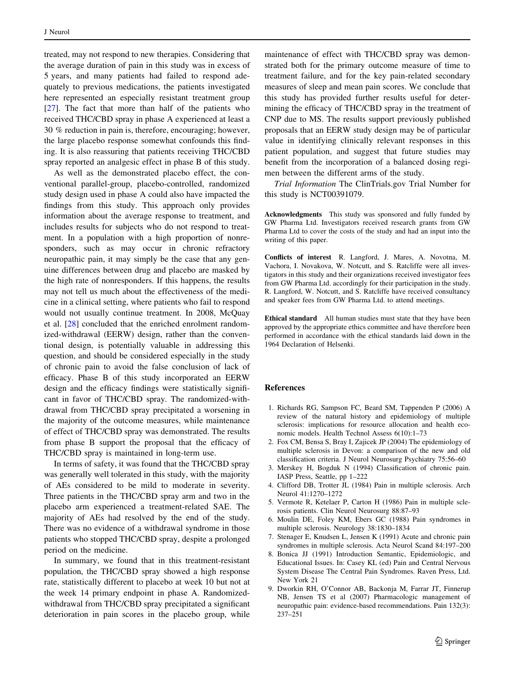<span id="page-12-0"></span>treated, may not respond to new therapies. Considering that the average duration of pain in this study was in excess of 5 years, and many patients had failed to respond adequately to previous medications, the patients investigated here represented an especially resistant treatment group [\[27](#page-13-0)]. The fact that more than half of the patients who received THC/CBD spray in phase A experienced at least a 30 % reduction in pain is, therefore, encouraging; however, the large placebo response somewhat confounds this finding. It is also reassuring that patients receiving THC/CBD spray reported an analgesic effect in phase B of this study.

As well as the demonstrated placebo effect, the conventional parallel-group, placebo-controlled, randomized study design used in phase A could also have impacted the findings from this study. This approach only provides information about the average response to treatment, and includes results for subjects who do not respond to treatment. In a population with a high proportion of nonresponders, such as may occur in chronic refractory neuropathic pain, it may simply be the case that any genuine differences between drug and placebo are masked by the high rate of nonresponders. If this happens, the results may not tell us much about the effectiveness of the medicine in a clinical setting, where patients who fail to respond would not usually continue treatment. In 2008, McQuay et al. [\[28](#page-13-0)] concluded that the enriched enrolment randomized-withdrawal (EERW) design, rather than the conventional design, is potentially valuable in addressing this question, and should be considered especially in the study of chronic pain to avoid the false conclusion of lack of efficacy. Phase B of this study incorporated an EERW design and the efficacy findings were statistically significant in favor of THC/CBD spray. The randomized-withdrawal from THC/CBD spray precipitated a worsening in the majority of the outcome measures, while maintenance of effect of THC/CBD spray was demonstrated. The results from phase B support the proposal that the efficacy of THC/CBD spray is maintained in long-term use.

In terms of safety, it was found that the THC/CBD spray was generally well tolerated in this study, with the majority of AEs considered to be mild to moderate in severity. Three patients in the THC/CBD spray arm and two in the placebo arm experienced a treatment-related SAE. The majority of AEs had resolved by the end of the study. There was no evidence of a withdrawal syndrome in those patients who stopped THC/CBD spray, despite a prolonged period on the medicine.

In summary, we found that in this treatment-resistant population, the THC/CBD spray showed a high response rate, statistically different to placebo at week 10 but not at the week 14 primary endpoint in phase A. Randomizedwithdrawal from THC/CBD spray precipitated a significant deterioration in pain scores in the placebo group, while maintenance of effect with THC/CBD spray was demonstrated both for the primary outcome measure of time to treatment failure, and for the key pain-related secondary measures of sleep and mean pain scores. We conclude that this study has provided further results useful for determining the efficacy of THC/CBD spray in the treatment of CNP due to MS. The results support previously published proposals that an EERW study design may be of particular value in identifying clinically relevant responses in this patient population, and suggest that future studies may benefit from the incorporation of a balanced dosing regimen between the different arms of the study.

Trial Information The ClinTrials.gov Trial Number for this study is NCT00391079.

Acknowledgments This study was sponsored and fully funded by GW Pharma Ltd. Investigators received research grants from GW Pharma Ltd to cover the costs of the study and had an input into the writing of this paper.

Conflicts of interest R. Langford, J. Mares, A. Novotna, M. Vachora, I. Novakova, W. Notcutt, and S. Ratcliffe were all investigators in this study and their organizations received investigator fees from GW Pharma Ltd. accordingly for their participation in the study. R. Langford, W. Notcutt, and S. Ratcliffe have received consultancy and speaker fees from GW Pharma Ltd. to attend meetings.

Ethical standard All human studies must state that they have been approved by the appropriate ethics committee and have therefore been performed in accordance with the ethical standards laid down in the 1964 Declaration of Helsenki.

#### References

- 1. Richards RG, Sampson FC, Beard SM, Tappenden P (2006) A review of the natural history and epidemiology of multiple sclerosis: implications for resource allocation and health economic models. Health Technol Assess 6(10):1–73
- 2. Fox CM, Bensa S, Bray I, Zajicek JP (2004) The epidemiology of multiple sclerosis in Devon: a comparison of the new and old classification criteria. J Neurol Neurosurg Psychiatry 75:56-60
- 3. Merskey H, Bogduk N (1994) Classification of chronic pain. IASP Press, Seattle, pp 1–222
- 4. Clifford DB, Trotter JL (1984) Pain in multiple sclerosis. Arch Neurol 41:1270–1272
- 5. Vermote R, Ketelaer P, Carton H (1986) Pain in multiple sclerosis patients. Clin Neurol Neurosurg 88:87–93
- 6. Moulin DE, Foley KM, Ebers GC (1988) Pain syndromes in multiple sclerosis. Neurology 38:1830–1834
- 7. Stenager E, Knudsen L, Jensen K (1991) Acute and chronic pain syndromes in multiple sclerosis. Acta Neurol Scand 84:197–200
- 8. Bonica JJ (1991) Introduction Semantic, Epidemiologic, and Educational Issues. In: Casey KL (ed) Pain and Central Nervous System Disease The Central Pain Syndromes. Raven Press, Ltd. New York 21
- 9. Dworkin RH, O'Connor AB, Backonja M, Farrar JT, Finnerup NB, Jensen TS et al (2007) Pharmacologic management of neuropathic pain: evidence-based recommendations. Pain 132(3): 237–251